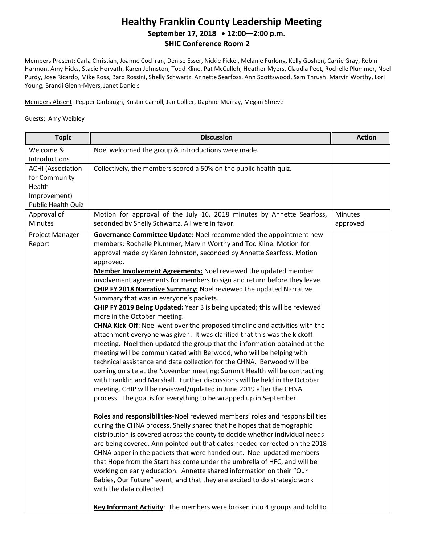## **Healthy Franklin County Leadership Meeting September 17, 2018 12:00—2:00 p.m. SHIC Conference Room 2**

Members Present: Carla Christian, Joanne Cochran, Denise Esser, Nickie Fickel, Melanie Furlong, Kelly Goshen, Carrie Gray, Robin Harmon, Amy Hicks, Stacie Horvath, Karen Johnston, Todd Kline, Pat McCulloh, Heather Myers, Claudia Peet, Rochelle Plummer, Noel Purdy, Jose Ricardo, Mike Ross, Barb Rossini, Shelly Schwartz, Annette Searfoss, Ann Spottswood, Sam Thrush, Marvin Worthy, Lori Young, Brandi Glenn-Myers, Janet Daniels

Members Absent: Pepper Carbaugh, Kristin Carroll, Jan Collier, Daphne Murray, Megan Shreve

## Guests: Amy Weibley

| Welcome &<br>Introductions                                                                | Noel welcomed the group & introductions were made.                                                                                                                                                                                                                                                                                                                                                                                                                                                                                                                                                                                                                                                                                                                                                                                                                                                                                                                                                                                                                                                                                                                                                                                                                                                                                                                                                                                                                                                                                                                                                                                                                                                                                                                                                                                                                                                                                                                                                                                                                           |                     |
|-------------------------------------------------------------------------------------------|------------------------------------------------------------------------------------------------------------------------------------------------------------------------------------------------------------------------------------------------------------------------------------------------------------------------------------------------------------------------------------------------------------------------------------------------------------------------------------------------------------------------------------------------------------------------------------------------------------------------------------------------------------------------------------------------------------------------------------------------------------------------------------------------------------------------------------------------------------------------------------------------------------------------------------------------------------------------------------------------------------------------------------------------------------------------------------------------------------------------------------------------------------------------------------------------------------------------------------------------------------------------------------------------------------------------------------------------------------------------------------------------------------------------------------------------------------------------------------------------------------------------------------------------------------------------------------------------------------------------------------------------------------------------------------------------------------------------------------------------------------------------------------------------------------------------------------------------------------------------------------------------------------------------------------------------------------------------------------------------------------------------------------------------------------------------------|---------------------|
| <b>ACHI</b> (Association<br>for Community<br>Health<br>Improvement)<br>Public Health Quiz | Collectively, the members scored a 50% on the public health quiz.                                                                                                                                                                                                                                                                                                                                                                                                                                                                                                                                                                                                                                                                                                                                                                                                                                                                                                                                                                                                                                                                                                                                                                                                                                                                                                                                                                                                                                                                                                                                                                                                                                                                                                                                                                                                                                                                                                                                                                                                            |                     |
| Approval of<br><b>Minutes</b>                                                             | Motion for approval of the July 16, 2018 minutes by Annette Searfoss,<br>seconded by Shelly Schwartz. All were in favor.                                                                                                                                                                                                                                                                                                                                                                                                                                                                                                                                                                                                                                                                                                                                                                                                                                                                                                                                                                                                                                                                                                                                                                                                                                                                                                                                                                                                                                                                                                                                                                                                                                                                                                                                                                                                                                                                                                                                                     | Minutes<br>approved |
| Project Manager<br>Report                                                                 | <b>Governance Committee Update:</b> Noel recommended the appointment new<br>members: Rochelle Plummer, Marvin Worthy and Tod Kline. Motion for<br>approval made by Karen Johnston, seconded by Annette Searfoss. Motion<br>approved.<br>Member Involvement Agreements: Noel reviewed the updated member<br>involvement agreements for members to sign and return before they leave.<br><b>CHIP FY 2018 Narrative Summary: Noel reviewed the updated Narrative</b><br>Summary that was in everyone's packets.<br>CHIP FY 2019 Being Updated: Year 3 is being updated; this will be reviewed<br>more in the October meeting.<br><b>CHNA Kick-Off:</b> Noel went over the proposed timeline and activities with the<br>attachment everyone was given. It was clarified that this was the kickoff<br>meeting. Noel then updated the group that the information obtained at the<br>meeting will be communicated with Berwood, who will be helping with<br>technical assistance and data collection for the CHNA. Berwood will be<br>coming on site at the November meeting; Summit Health will be contracting<br>with Franklin and Marshall. Further discussions will be held in the October<br>meeting. CHIP will be reviewed/updated in June 2019 after the CHNA<br>process. The goal is for everything to be wrapped up in September.<br>Roles and responsibilities-Noel reviewed members' roles and responsibilities<br>during the CHNA process. Shelly shared that he hopes that demographic<br>distribution is covered across the county to decide whether individual needs<br>are being covered. Ann pointed out that dates needed corrected on the 2018<br>CHNA paper in the packets that were handed out. Noel updated members<br>that Hope from the Start has come under the umbrella of HFC, and will be<br>working on early education. Annette shared information on their "Our<br>Babies, Our Future" event, and that they are excited to do strategic work<br>with the data collected.<br>Key Informant Activity: The members were broken into 4 groups and told to |                     |